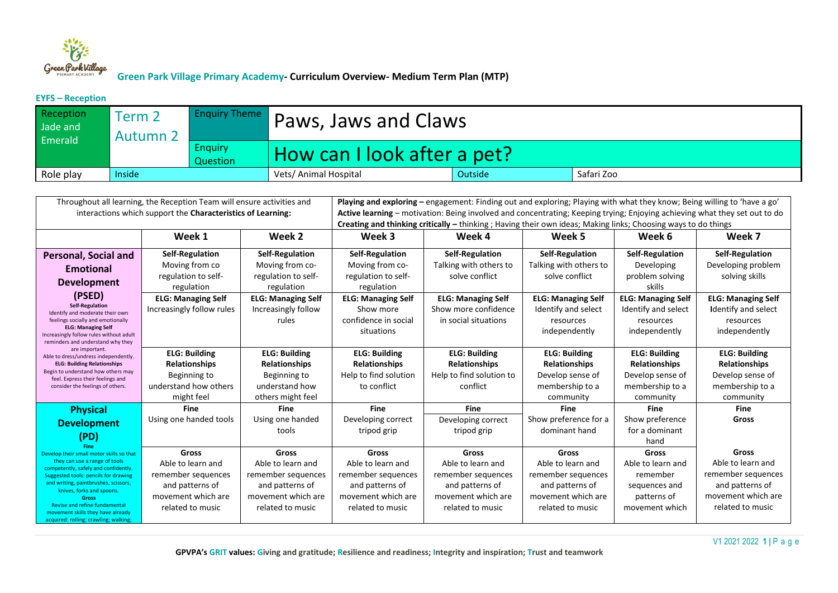

#### **EYFS – Reception**

| Reception<br>Jade and<br>Emerald | Term <sub>2</sub><br><b>Autumn 2</b> |                     | <b>Enquiry Theme</b> Paws, Jaws and Claws |                |            |  |  |
|----------------------------------|--------------------------------------|---------------------|-------------------------------------------|----------------|------------|--|--|
|                                  |                                      | Enguiry<br>Question | How can I look after a pet?               |                |            |  |  |
| Role play                        | Inside                               |                     | Vets/ Animal Hospital                     | <b>Outside</b> | Safari Zoo |  |  |

| Throughout all learning, the Reception Team will ensure activities and<br>interactions which support the Characteristics of Learning: |                                          |                                         | Playing and exploring - engagement: Finding out and exploring; Playing with what they know; Being willing to 'have a go'<br>Active learning - motivation: Being involved and concentrating; Keeping trying; Enjoying achieving what they set out to do<br>Creating and thinking critically – thinking; Having their own ideas; Making links; Choosing ways to do things |                                              |                                           |                                      |                                              |  |
|---------------------------------------------------------------------------------------------------------------------------------------|------------------------------------------|-----------------------------------------|-------------------------------------------------------------------------------------------------------------------------------------------------------------------------------------------------------------------------------------------------------------------------------------------------------------------------------------------------------------------------|----------------------------------------------|-------------------------------------------|--------------------------------------|----------------------------------------------|--|
|                                                                                                                                       | Week 1                                   | Week 2                                  | Week 3                                                                                                                                                                                                                                                                                                                                                                  | Week 4                                       | Week 5                                    | Week 6                               | Week 7                                       |  |
| <b>Personal, Social and</b>                                                                                                           | <b>Self-Regulation</b><br>Moving from co | Self-Regulation<br>Moving from co-      | Self-Regulation<br>Moving from co-                                                                                                                                                                                                                                                                                                                                      | Self-Regulation<br>Talking with others to    | Self-Regulation<br>Talking with others to | <b>Self-Regulation</b><br>Developing | <b>Self-Regulation</b><br>Developing problem |  |
| Emotional<br><b>Development</b>                                                                                                       | regulation to self-                      | regulation to self-                     | regulation to self-                                                                                                                                                                                                                                                                                                                                                     | solve conflict                               | solve conflict                            | problem solving                      | solving skills                               |  |
| (PSED)                                                                                                                                | regulation<br><b>ELG: Managing Self</b>  | regulation<br><b>ELG: Managing Self</b> | regulation<br><b>ELG: Managing Self</b>                                                                                                                                                                                                                                                                                                                                 | <b>ELG: Managing Self</b>                    | <b>ELG: Managing Self</b>                 | skills<br><b>ELG: Managing Self</b>  | <b>ELG: Managing Self</b>                    |  |
| <b>Self-Regulation</b><br>Identify and moderate their own<br>feelings socially and emotionally                                        | Increasingly follow rules                | Increasingly follow<br>rules            | Show more<br>confidence in social                                                                                                                                                                                                                                                                                                                                       | Show more confidence<br>in social situations | Identify and select<br>resources          | Identify and select<br>resources     | <b>Identify and select</b><br>resources      |  |
| <b>ELG: Managing Self</b><br>Increasingly follow rules without adult<br>reminders and understand why they                             |                                          |                                         | situations                                                                                                                                                                                                                                                                                                                                                              |                                              | independently                             | independently                        | independently                                |  |
| are important.<br>Able to dress/undress independently.                                                                                | <b>ELG: Building</b>                     | <b>ELG: Building</b>                    | <b>ELG: Building</b>                                                                                                                                                                                                                                                                                                                                                    | <b>ELG: Building</b>                         | <b>ELG: Building</b>                      | <b>ELG: Building</b>                 | <b>ELG: Building</b>                         |  |
| <b>ELG: Building Relationships</b><br>Begin to understand how others may                                                              | <b>Relationships</b>                     | <b>Relationships</b>                    | Relationships                                                                                                                                                                                                                                                                                                                                                           | <b>Relationships</b>                         | <b>Relationships</b>                      | <b>Relationships</b>                 | <b>Relationships</b>                         |  |
| feel. Express their feelings and<br>consider the feelings of others.                                                                  | Beginning to<br>understand how others    | Beginning to<br>understand how          | Help to find solution<br>to conflict                                                                                                                                                                                                                                                                                                                                    | Help to find solution to<br>conflict         | Develop sense of                          | Develop sense of                     | Develop sense of                             |  |
|                                                                                                                                       | might feel                               | others might feel                       |                                                                                                                                                                                                                                                                                                                                                                         |                                              | membership to a<br>community              | membership to a<br>community         | membership to a<br>community                 |  |
| <b>Physical</b>                                                                                                                       | <b>Fine</b>                              | <b>Fine</b>                             | <b>Fine</b>                                                                                                                                                                                                                                                                                                                                                             | <b>Fine</b>                                  | <b>Fine</b>                               | Fine                                 | Fine                                         |  |
| <b>Development</b>                                                                                                                    | Using one handed tools                   | Using one handed                        | Developing correct                                                                                                                                                                                                                                                                                                                                                      | Developing correct                           | Show preference for a                     | Show preference                      | Gross                                        |  |
|                                                                                                                                       |                                          | tools                                   | tripod grip                                                                                                                                                                                                                                                                                                                                                             | tripod grip                                  | dominant hand                             | for a dominant                       |                                              |  |
| (PD)<br>Fine                                                                                                                          |                                          |                                         |                                                                                                                                                                                                                                                                                                                                                                         |                                              |                                           | hand                                 |                                              |  |
| Develop their small motor skills so that                                                                                              | Gross                                    | <b>Gross</b>                            | Gross                                                                                                                                                                                                                                                                                                                                                                   | <b>Gross</b>                                 | Gross                                     | Gross                                | Gross                                        |  |
| they can use a range of tools<br>competently, safely and confidently.                                                                 | Able to learn and                        | Able to learn and                       | Able to learn and                                                                                                                                                                                                                                                                                                                                                       | Able to learn and                            | Able to learn and                         | Able to learn and                    | Able to learn and                            |  |
| Suggested tools: pencils for drawing                                                                                                  | remember sequences                       | remember sequences                      | remember sequences                                                                                                                                                                                                                                                                                                                                                      | remember sequences                           | remember sequences                        | remember                             | remember sequences                           |  |
| and writing, paintbrushes, scissors,<br>knives, forks and spoons.                                                                     | and patterns of                          | and patterns of                         | and patterns of                                                                                                                                                                                                                                                                                                                                                         | and patterns of                              | and patterns of                           | sequences and                        | and patterns of                              |  |
| <b>Gross</b><br>Revise and refine fundamental                                                                                         | movement which are                       | movement which are                      | movement which are                                                                                                                                                                                                                                                                                                                                                      | movement which are                           | movement which are                        | patterns of                          | movement which are                           |  |
| movement skills they have already<br>acquired: rolling; crawling; walking;                                                            | related to music                         | related to music                        | related to music                                                                                                                                                                                                                                                                                                                                                        | related to music                             | related to music                          | movement which                       | related to music                             |  |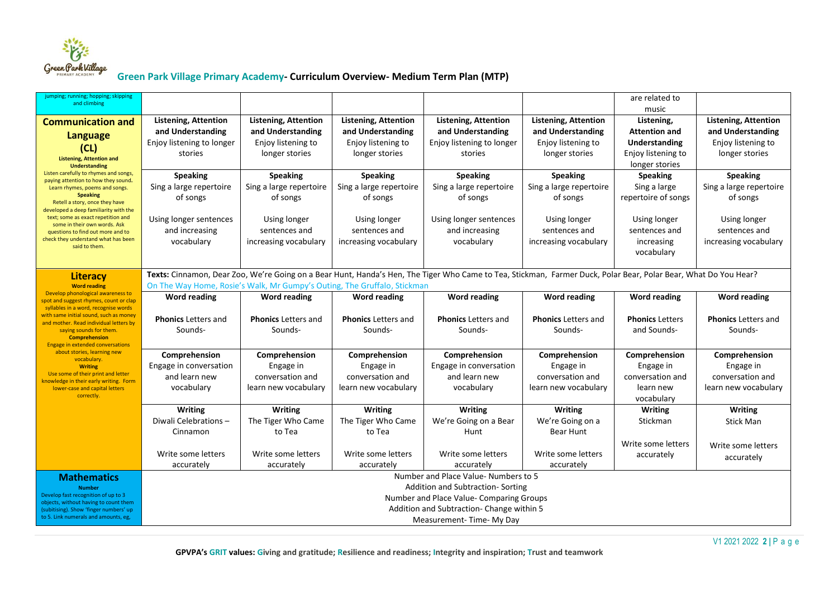

| jumping; running; hopping; skipping<br>and climbing                             |                                                                          |                                                                              |                                                  |                                                                                                                                                                 |                                                  | are related to                     |                                                  |  |
|---------------------------------------------------------------------------------|--------------------------------------------------------------------------|------------------------------------------------------------------------------|--------------------------------------------------|-----------------------------------------------------------------------------------------------------------------------------------------------------------------|--------------------------------------------------|------------------------------------|--------------------------------------------------|--|
|                                                                                 |                                                                          |                                                                              |                                                  |                                                                                                                                                                 |                                                  | music                              |                                                  |  |
| <b>Communication and</b>                                                        | <b>Listening, Attention</b><br>and Understanding                         | <b>Listening, Attention</b><br>and Understanding                             | <b>Listening, Attention</b><br>and Understanding | <b>Listening, Attention</b><br>and Understanding                                                                                                                | <b>Listening, Attention</b><br>and Understanding | Listening,<br><b>Attention and</b> | <b>Listening, Attention</b><br>and Understanding |  |
| <b>Language</b>                                                                 | Enjoy listening to longer                                                | Enjoy listening to                                                           | Enjoy listening to                               | Enjoy listening to longer                                                                                                                                       | Enjoy listening to                               | <b>Understanding</b>               | Enjoy listening to                               |  |
| (CL)                                                                            | stories                                                                  | longer stories                                                               | longer stories                                   | stories                                                                                                                                                         | longer stories                                   | Enjoy listening to                 | longer stories                                   |  |
| <b>Listening, Attention and</b><br><b>Understanding</b>                         |                                                                          |                                                                              |                                                  |                                                                                                                                                                 |                                                  | longer stories                     |                                                  |  |
| Listen carefully to rhymes and songs,                                           | <b>Speaking</b>                                                          | <b>Speaking</b>                                                              | <b>Speaking</b>                                  | <b>Speaking</b>                                                                                                                                                 | <b>Speaking</b>                                  | <b>Speaking</b>                    | <b>Speaking</b>                                  |  |
| paying attention to how they sound.<br>Learn rhymes, poems and songs.           | Sing a large repertoire                                                  | Sing a large repertoire                                                      | Sing a large repertoire                          | Sing a large repertoire                                                                                                                                         | Sing a large repertoire                          | Sing a large                       | Sing a large repertoire                          |  |
| <b>Speaking</b>                                                                 | of songs                                                                 | of songs                                                                     | of songs                                         | of songs                                                                                                                                                        | of songs                                         | repertoire of songs                | of songs                                         |  |
| Retell a story, once they have<br>developed a deep familiarity with the         |                                                                          |                                                                              |                                                  |                                                                                                                                                                 |                                                  |                                    |                                                  |  |
| text; some as exact repetition and<br>some in their own words. Ask              | Using longer sentences                                                   | Using longer                                                                 | Using longer                                     | Using longer sentences                                                                                                                                          | Using longer                                     | Using longer                       | Using longer                                     |  |
| questions to find out more and to                                               | and increasing                                                           | sentences and                                                                | sentences and                                    | and increasing                                                                                                                                                  | sentences and                                    | sentences and                      | sentences and                                    |  |
| check they understand what has been<br>said to them.                            | vocabulary                                                               | increasing vocabulary                                                        | increasing vocabulary                            | vocabulary                                                                                                                                                      | increasing vocabulary                            | increasing                         | increasing vocabulary                            |  |
|                                                                                 |                                                                          |                                                                              |                                                  |                                                                                                                                                                 |                                                  | vocabulary                         |                                                  |  |
|                                                                                 |                                                                          |                                                                              |                                                  |                                                                                                                                                                 |                                                  |                                    |                                                  |  |
| <b>Literacy</b>                                                                 |                                                                          |                                                                              |                                                  | Texts: Cinnamon, Dear Zoo, We're Going on a Bear Hunt, Handa's Hen, The Tiger Who Came to Tea, Stickman, Farmer Duck, Polar Bear, Polar Bear, What Do You Hear? |                                                  |                                    |                                                  |  |
| <b>Word reading</b><br>Develop phonological awareness to                        | On The Way Home, Rosie's Walk, Mr Gumpy's Outing, The Gruffalo, Stickman |                                                                              |                                                  |                                                                                                                                                                 |                                                  |                                    |                                                  |  |
| spot and suggest rhymes, count or clap<br>syllables in a word, recognise words  | <b>Word reading</b>                                                      | <b>Word reading</b>                                                          | <b>Word reading</b>                              | <b>Word reading</b>                                                                                                                                             | <b>Word reading</b>                              | <b>Word reading</b>                | <b>Word reading</b>                              |  |
| with same initial sound, such as money                                          | <b>Phonics Letters and</b>                                               | <b>Phonics Letters and</b>                                                   | <b>Phonics Letters and</b>                       | <b>Phonics Letters and</b>                                                                                                                                      | <b>Phonics Letters and</b>                       | <b>Phonics Letters</b>             | <b>Phonics Letters and</b>                       |  |
| and mother. Read individual letters by<br>saying sounds for them.               | Sounds-                                                                  | Sounds-                                                                      | Sounds-                                          | Sounds-                                                                                                                                                         | Sounds-                                          | and Sounds-                        | Sounds-                                          |  |
| <b>Comprehension</b><br><b>Engage in extended conversations</b>                 |                                                                          |                                                                              |                                                  |                                                                                                                                                                 |                                                  |                                    |                                                  |  |
| about stories, learning new                                                     | Comprehension                                                            | Comprehension                                                                | Comprehension                                    | Comprehension                                                                                                                                                   | Comprehension                                    | Comprehension                      | Comprehension                                    |  |
| vocabulary.<br><b>Writing</b>                                                   | Engage in conversation                                                   | Engage in                                                                    | Engage in                                        | Engage in conversation                                                                                                                                          | Engage in                                        | Engage in                          | Engage in                                        |  |
| Use some of their print and letter                                              | and learn new                                                            | conversation and                                                             | conversation and                                 | and learn new                                                                                                                                                   | conversation and                                 | conversation and                   | conversation and                                 |  |
| knowledge in their early writing. Form<br>lower-case and capital letters        | vocabulary                                                               | learn new vocabulary                                                         | learn new vocabulary                             | vocabulary                                                                                                                                                      | learn new vocabulary                             | learn new                          | learn new vocabulary                             |  |
| correctly.                                                                      |                                                                          |                                                                              |                                                  |                                                                                                                                                                 |                                                  | vocabulary                         |                                                  |  |
|                                                                                 | <b>Writing</b>                                                           | <b>Writing</b>                                                               | <b>Writing</b>                                   | <b>Writing</b>                                                                                                                                                  | <b>Writing</b>                                   | <b>Writing</b>                     | <b>Writing</b>                                   |  |
|                                                                                 | Diwali Celebrations-                                                     | The Tiger Who Came                                                           | The Tiger Who Came                               | We're Going on a Bear                                                                                                                                           | We're Going on a                                 | Stickman                           | Stick Man                                        |  |
|                                                                                 | Cinnamon                                                                 | to Tea                                                                       | to Tea                                           | Hunt                                                                                                                                                            | Bear Hunt                                        |                                    |                                                  |  |
|                                                                                 |                                                                          |                                                                              |                                                  |                                                                                                                                                                 |                                                  | Write some letters                 | Write some letters                               |  |
|                                                                                 | Write some letters                                                       | Write some letters                                                           | Write some letters                               | Write some letters                                                                                                                                              | Write some letters                               | accurately                         | accurately                                       |  |
|                                                                                 | accurately                                                               | accurately                                                                   | accurately                                       | accurately                                                                                                                                                      | accurately                                       |                                    |                                                  |  |
| <b>Mathematics</b>                                                              |                                                                          |                                                                              |                                                  | Number and Place Value-Numbers to 5                                                                                                                             |                                                  |                                    |                                                  |  |
| <b>Number</b><br>Develop fast recognition of up to 3                            |                                                                          | Addition and Subtraction-Sorting<br>Number and Place Value- Comparing Groups |                                                  |                                                                                                                                                                 |                                                  |                                    |                                                  |  |
| objects, without having to count them<br>(subitising). Show 'finger numbers' up |                                                                          |                                                                              |                                                  |                                                                                                                                                                 |                                                  |                                    |                                                  |  |
| to 5. Link numerals and amounts, eg,                                            | Addition and Subtraction- Change within 5<br>Measurement-Time-My Day     |                                                                              |                                                  |                                                                                                                                                                 |                                                  |                                    |                                                  |  |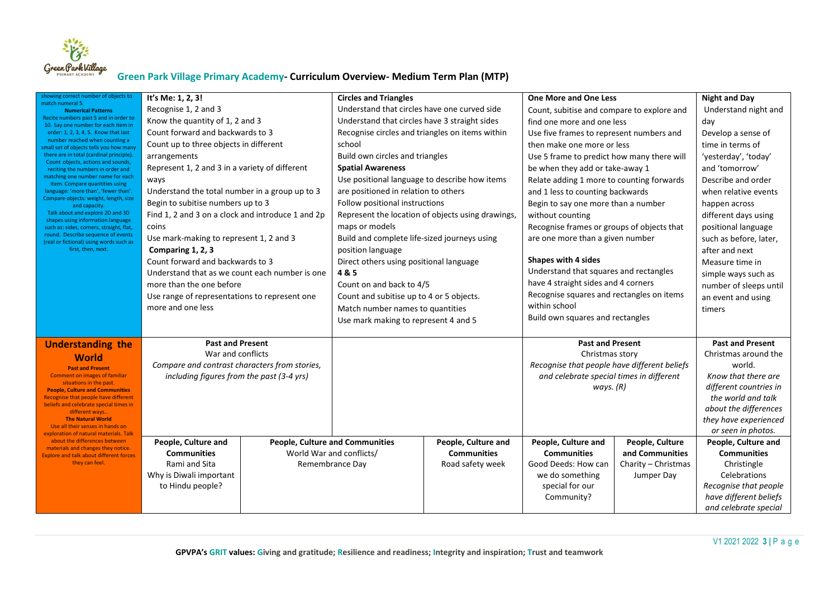

| showing correct number of objects to                                                           | It's Me: 1, 2, 3!                                 |                                        | <b>Circles and Triangles</b>                  |                                                   | <b>One More and One Less</b>                 |                                          | <b>Night and Day</b>                         |
|------------------------------------------------------------------------------------------------|---------------------------------------------------|----------------------------------------|-----------------------------------------------|---------------------------------------------------|----------------------------------------------|------------------------------------------|----------------------------------------------|
| match numeral 5.<br><b>Numerical Patterns</b>                                                  | Recognise 1, 2 and 3                              |                                        | Understand that circles have one curved side  |                                                   | Count, subitise and compare to explore and   |                                          | Understand night and                         |
| Recite numbers past 5 and in order to<br>10. Say one number for each item in                   | Know the quantity of 1, 2 and 3                   |                                        | Understand that circles have 3 straight sides |                                                   | find one more and one less                   |                                          | day                                          |
| order: 1, 2, 3, 4, 5. Know that last                                                           | Count forward and backwards to 3                  |                                        |                                               | Recognise circles and triangles on items within   |                                              | Use five frames to represent numbers and |                                              |
| number reached when counting a<br>small set of objects tells you how many                      | Count up to three objects in different            |                                        | school                                        |                                                   | then make one more or less                   |                                          | time in terms of                             |
| there are in total (cardinal principle).                                                       | arrangements                                      |                                        | Build own circles and triangles               |                                                   | Use 5 frame to predict how many there will   |                                          | 'yesterday', 'today'                         |
| Count objects, actions and sounds,<br>reciting the numbers in order and                        | Represent 1, 2 and 3 in a variety of different    |                                        | <b>Spatial Awareness</b>                      |                                                   | be when they add or take-away 1              |                                          | and 'tomorrow'                               |
| matching one number name for each<br>item. Compare quantities using                            | ways                                              |                                        | Use positional language to describe how items |                                                   | Relate adding 1 more to counting forwards    |                                          | Describe and order                           |
| language: 'more than', 'fewer than'.                                                           | Understand the total number in a group up to 3    |                                        | are positioned in relation to others          |                                                   |                                              | and 1 less to counting backwards         |                                              |
| Compare objects: weight, length, size<br>and capacity.                                         | Begin to subitise numbers up to 3                 |                                        | Follow positional instructions                |                                                   | Begin to say one more than a number          |                                          | happen across                                |
| Talk about and explore 2D and 3D                                                               | Find 1, 2 and 3 on a clock and introduce 1 and 2p |                                        |                                               | Represent the location of objects using drawings, | without counting                             |                                          | different days using                         |
| shapes using information language<br>such as: sides, corners, straight, flat,                  | coins                                             |                                        | maps or models                                |                                                   | Recognise frames or groups of objects that   |                                          | positional language                          |
| round. Describe sequence of events<br>(real or fictional) using words such as                  | Use mark-making to represent 1, 2 and 3           |                                        | Build and complete life-sized journeys using  |                                                   | are one more than a given number             |                                          | such as before, later,                       |
| first, then, next.                                                                             | Comparing 1, 2, 3                                 |                                        | position language                             |                                                   |                                              |                                          |                                              |
|                                                                                                | Count forward and backwards to 3                  |                                        | Direct others using positional language       |                                                   | Shapes with 4 sides                          |                                          | Measure time in                              |
|                                                                                                | Understand that as we count each number is one    |                                        | 4&5                                           |                                                   | Understand that squares and rectangles       |                                          | simple ways such as                          |
|                                                                                                | more than the one before                          |                                        | Count on and back to 4/5                      |                                                   | have 4 straight sides and 4 corners          |                                          | number of sleeps until                       |
|                                                                                                | Use range of representations to represent one     |                                        | Count and subitise up to 4 or 5 objects.      |                                                   | Recognise squares and rectangles on items    |                                          | an event and using                           |
|                                                                                                | more and one less                                 |                                        | Match number names to quantities              |                                                   | within school                                |                                          | timers                                       |
|                                                                                                |                                                   |                                        | Use mark making to represent 4 and 5          |                                                   | Build own squares and rectangles             |                                          |                                              |
|                                                                                                |                                                   |                                        |                                               |                                                   |                                              |                                          |                                              |
| <b>Understanding the</b>                                                                       | <b>Past and Present</b>                           |                                        |                                               |                                                   | <b>Past and Present</b>                      |                                          | <b>Past and Present</b>                      |
| World                                                                                          | War and conflicts                                 |                                        |                                               |                                                   | Christmas story                              |                                          | Christmas around the                         |
| <b>Past and Present</b>                                                                        | Compare and contrast characters from stories,     |                                        |                                               |                                                   | Recognise that people have different beliefs |                                          | world.                                       |
| Comment on images of familiar<br>situations in the past.                                       | including figures from the past (3-4 yrs)         |                                        |                                               |                                                   | and celebrate special times in different     |                                          | Know that there are                          |
| <b>People, Culture and Communities</b><br>Recognise that people have different                 |                                                   |                                        |                                               |                                                   | ways. (R)                                    |                                          | different countries in<br>the world and talk |
| beliefs and celebrate special times in                                                         |                                                   |                                        |                                               |                                                   |                                              |                                          | about the differences                        |
| different ways<br><b>The Natural World</b>                                                     |                                                   |                                        |                                               |                                                   |                                              |                                          | they have experienced                        |
| Use all their senses in hands on                                                               |                                                   |                                        |                                               |                                                   |                                              |                                          | or seen in photos.                           |
| exploration of natural materials. Talk<br>about the differences between<br>People, Culture and |                                                   | <b>People, Culture and Communities</b> | People, Culture and                           | People, Culture and                               | People, Culture                              | People, Culture and                      |                                              |
| materials and changes they notice.<br><b>Explore and talk about different forces</b>           | <b>Communities</b>                                | World War and conflicts/               |                                               | <b>Communities</b>                                | <b>Communities</b>                           | and Communities                          | <b>Communities</b>                           |
| they can feel.                                                                                 | Rami and Sita                                     |                                        | Remembrance Day                               | Road safety week                                  | Good Deeds: How can                          | Charity - Christmas                      | Christingle                                  |
|                                                                                                | Why is Diwali important                           |                                        |                                               |                                                   | we do something                              | Jumper Day                               | Celebrations                                 |
|                                                                                                | to Hindu people?                                  |                                        |                                               |                                                   | special for our                              |                                          | Recognise that people                        |
|                                                                                                |                                                   |                                        |                                               |                                                   | Community?                                   |                                          | have different beliefs                       |
|                                                                                                |                                                   |                                        |                                               |                                                   |                                              |                                          | and celebrate special                        |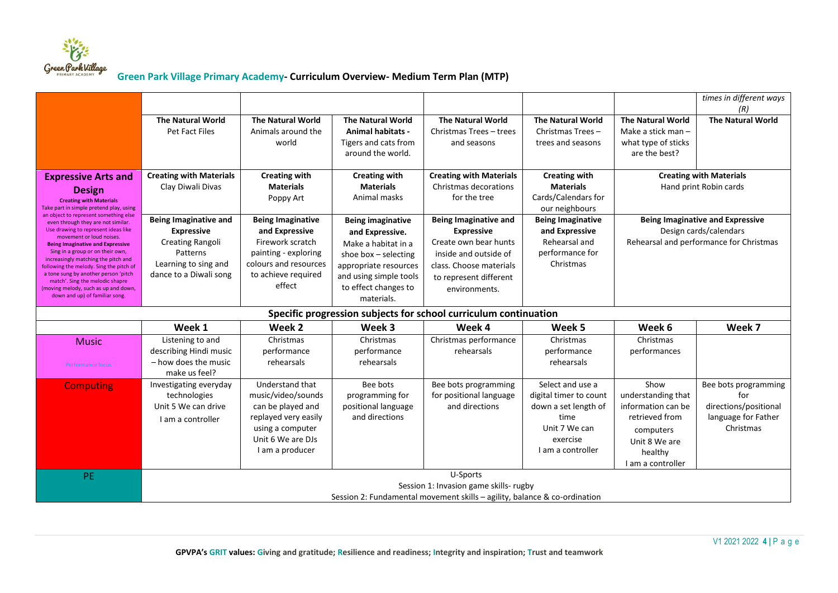

|                                                                                 |                                                                           |                               |                          |                                                                  |                                        |                          | times in different ways<br>(R)          |  |  |  |  |
|---------------------------------------------------------------------------------|---------------------------------------------------------------------------|-------------------------------|--------------------------|------------------------------------------------------------------|----------------------------------------|--------------------------|-----------------------------------------|--|--|--|--|
|                                                                                 | <b>The Natural World</b>                                                  | <b>The Natural World</b>      | <b>The Natural World</b> | <b>The Natural World</b>                                         | <b>The Natural World</b>               | <b>The Natural World</b> | <b>The Natural World</b>                |  |  |  |  |
|                                                                                 | Pet Fact Files                                                            | Animals around the            | <b>Animal habitats -</b> | Christmas Trees - trees                                          | Christmas Trees-                       | Make a stick man -       |                                         |  |  |  |  |
|                                                                                 |                                                                           | world                         | Tigers and cats from     | and seasons                                                      | trees and seasons                      | what type of sticks      |                                         |  |  |  |  |
|                                                                                 |                                                                           |                               | around the world.        |                                                                  |                                        | are the best?            |                                         |  |  |  |  |
| <b>Expressive Arts and</b>                                                      | <b>Creating with Materials</b>                                            | <b>Creating with</b>          | <b>Creating with</b>     | <b>Creating with Materials</b>                                   | <b>Creating with</b>                   |                          | <b>Creating with Materials</b>          |  |  |  |  |
|                                                                                 | Clay Diwali Divas                                                         | <b>Materials</b>              | <b>Materials</b>         | Christmas decorations                                            | <b>Materials</b>                       |                          | Hand print Robin cards                  |  |  |  |  |
| <b>Design</b><br><b>Creating with Materials</b>                                 |                                                                           | Poppy Art                     | Animal masks             | for the tree                                                     | Cards/Calendars for                    |                          |                                         |  |  |  |  |
| Take part in simple pretend play, using                                         |                                                                           |                               |                          |                                                                  | our neighbours                         |                          |                                         |  |  |  |  |
| an object to represent something else<br>even through they are not similar.     | <b>Being Imaginative and</b>                                              | <b>Being Imaginative</b>      | <b>Being imaginative</b> | <b>Being Imaginative and</b>                                     | <b>Being Imaginative</b>               |                          | <b>Being Imaginative and Expressive</b> |  |  |  |  |
| Use drawing to represent ideas like<br>movement or loud noises.                 | <b>Expressive</b>                                                         | and Expressive                | and Expressive.          | <b>Expressive</b>                                                | and Expressive                         |                          | Design cards/calendars                  |  |  |  |  |
| <b>Being Imaginative and Expressive</b>                                         | Creating Rangoli                                                          | Firework scratch              | Make a habitat in a      | Create own bear hunts                                            | Rehearsal and                          |                          | Rehearsal and performance for Christmas |  |  |  |  |
| Sing in a group or on their own,<br>increasingly matching the pitch and         | Patterns                                                                  | painting - exploring          | shoe box $-$ selecting   | inside and outside of                                            | performance for                        |                          |                                         |  |  |  |  |
| following the melody. Sing the pitch of<br>a tone sung by another person 'pitch | Learning to sing and                                                      | colours and resources         | appropriate resources    | class. Choose materials                                          | Christmas                              |                          |                                         |  |  |  |  |
| match'. Sing the melodic shapre                                                 | dance to a Diwali song                                                    | to achieve required<br>effect | and using simple tools   | to represent different                                           |                                        |                          |                                         |  |  |  |  |
| (moving melody, such as up and down,<br>down and up) of familiar song.          |                                                                           |                               | to effect changes to     | environments.                                                    |                                        |                          |                                         |  |  |  |  |
|                                                                                 |                                                                           |                               | materials.               |                                                                  |                                        |                          |                                         |  |  |  |  |
|                                                                                 |                                                                           |                               |                          | Specific progression subjects for school curriculum continuation |                                        |                          |                                         |  |  |  |  |
|                                                                                 | Week 1                                                                    | Week 2                        | Week 3                   | Week 4                                                           | Week 5                                 | Week 6                   | Week 7                                  |  |  |  |  |
| <b>Music</b>                                                                    | Listening to and                                                          | Christmas                     | Christmas                | Christmas performance                                            | Christmas                              | Christmas                |                                         |  |  |  |  |
|                                                                                 | describing Hindi music                                                    | performance                   | performance              | rehearsals                                                       | performance                            | performances             |                                         |  |  |  |  |
| <b>Performance focus</b>                                                        | - how does the music<br>make us feel?                                     | rehearsals                    | rehearsals               |                                                                  | rehearsals                             |                          |                                         |  |  |  |  |
| <b>Computing</b>                                                                | Investigating everyday                                                    | Understand that               | Bee bots                 | Bee bots programming                                             | Select and use a                       | Show                     | Bee bots programming                    |  |  |  |  |
|                                                                                 | technologies                                                              | music/video/sounds            | programming for          | for positional language                                          | digital timer to count                 | understanding that       | for                                     |  |  |  |  |
|                                                                                 | Unit 5 We can drive                                                       | can be played and             | positional language      | and directions                                                   | down a set length of                   | information can be       | directions/positional                   |  |  |  |  |
|                                                                                 | I am a controller                                                         | replayed very easily          | and directions           |                                                                  | time                                   | retrieved from           | language for Father                     |  |  |  |  |
|                                                                                 |                                                                           | using a computer              |                          |                                                                  | Unit 7 We can                          | computers                | Christmas                               |  |  |  |  |
|                                                                                 |                                                                           | Unit 6 We are DJs             |                          |                                                                  | exercise                               | Unit 8 We are            |                                         |  |  |  |  |
|                                                                                 |                                                                           | I am a producer               |                          |                                                                  | I am a controller                      | healthy                  |                                         |  |  |  |  |
|                                                                                 |                                                                           |                               |                          |                                                                  |                                        | I am a controller        |                                         |  |  |  |  |
| <b>PE</b>                                                                       |                                                                           |                               |                          | U-Sports                                                         |                                        |                          |                                         |  |  |  |  |
|                                                                                 |                                                                           |                               |                          |                                                                  | Session 1: Invasion game skills- rugby |                          |                                         |  |  |  |  |
|                                                                                 | Session 2: Fundamental movement skills - agility, balance & co-ordination |                               |                          |                                                                  |                                        |                          |                                         |  |  |  |  |